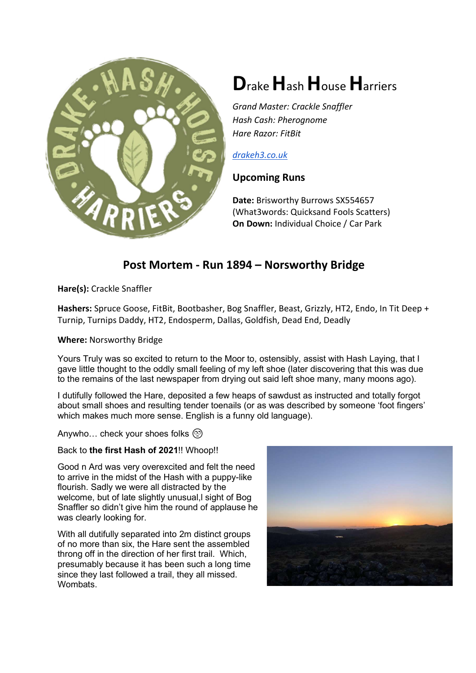

# Drake Hash House Harriers

Grand Master: Crackle Snaffler Hash Cash: Pherognome Hare Razor: FitBit

drakeh3.co.uk

## Upcoming Runs

Date: Brisworthy Burrows SX554657 (What3words: Quicksand Fools Scatters) On Down: Individual Choice / Car Park

## Post Mortem - Run 1894 – Norsworthy Bridge

Hare(s): Crackle Snaffler

Hashers: Spruce Goose, FitBit, Bootbasher, Bog Snaffler, Beast, Grizzly, HT2, Endo, In Tit Deep + Turnip, Turnips Daddy, HT2, Endosperm, Dallas, Goldfish, Dead End, Deadly

### Where: Norsworthy Bridge

Yours Truly was so excited to return to the Moor to, ostensibly, assist with Hash Laying, that I gave little thought to the oddly small feeling of my left shoe (later discovering that this was due to the remains of the last newspaper from drying out said left shoe many, many moons ago).

I dutifully followed the Hare, deposited a few heaps of sawdust as instructed and totally forgot about small shoes and resulting tender toenails (or as was described by someone 'foot fingers' which makes much more sense. English is a funny old language).

Anywho... check your shoes folks  $\circledcirc$ 

### Back to the first Hash of 2021!! Whoop!!

Good n Ard was very overexcited and felt the need to arrive in the midst of the Hash with a puppy-like flourish. Sadly we were all distracted by the welcome, but of late slightly unusual, sight of Bog Snaffler so didn't give him the round of applause he was clearly looking for.

With all dutifully separated into 2m distinct groups of no more than six, the Hare sent the assembled throng off in the direction of her first trail. Which, presumably because it has been such a long time since they last followed a trail, they all missed. Wombats.